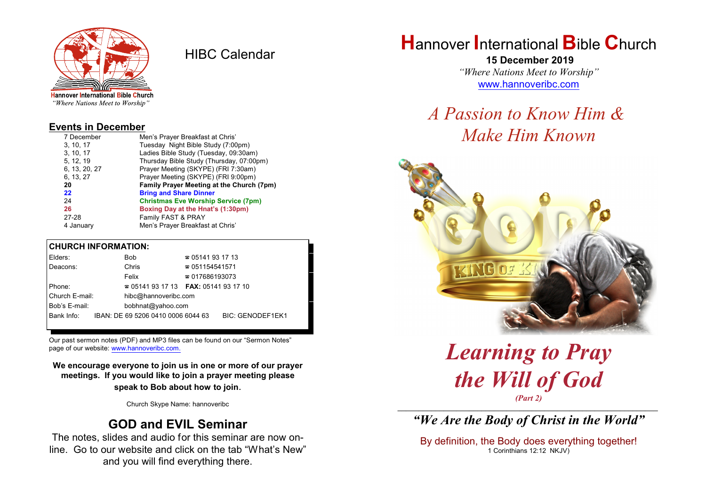

HIBC Calendar

"Where Nations Meet to Worship"

## **Events in December**

| 7 December    | Men's Prayer Breakfast at Chris'                 |
|---------------|--------------------------------------------------|
| 3, 10, 17     | Tuesday Night Bible Study (7:00pm)               |
| 3, 10, 17     | Ladies Bible Study (Tuesday, 09:30am)            |
| 5, 12, 19     | Thursday Bible Study (Thursday, 07:00pm)         |
| 6, 13, 20, 27 | Prayer Meeting (SKYPE) (FRI 7:30am)              |
| 6, 13, 27     | Prayer Meeting (SKYPE) (FRI 9:00pm)              |
|               |                                                  |
| 20            | <b>Family Prayer Meeting at the Church (7pm)</b> |
| 22            | <b>Bring and Share Dinner</b>                    |
| 24            | <b>Christmas Eve Worship Service (7pm)</b>       |
| 26            | Boxing Day at the Hnat's (1:30pm)                |
| 27-28         | Family FAST & PRAY                               |

#### **CHURCH INFORMATION:**

| Elders:        | <b>Bob</b>                                    | $\approx 05141931713$  |                         |
|----------------|-----------------------------------------------|------------------------|-------------------------|
| Deacons:       | Chris                                         | $\approx 051154541571$ |                         |
|                | Felix                                         | $\approx 017686193073$ |                         |
| Phone:         | $\approx 05141931713$ FAX: 0514193 17 10      |                        |                         |
| Church E-mail: | hibc@hannoveribc.com                          |                        |                         |
| Bob's E-mail:  | bobhnat@yahoo.com                             |                        |                         |
|                | Bank Info: IBAN: DE 69 5206 0410 0006 6044 63 |                        | <b>BIC: GENODEF1EK1</b> |
|                |                                               |                        |                         |

Our past sermon notes (PDF) and MP3 files can be found on our "Sermon Notes" page of our website: [www.hannoveribc.com.](http://www.hannoveribc.com.)

**We encourage everyone to join us in one or more of our prayer meetings. If you would like to join a prayer meeting please speak to Bob about how to join**.

Church Skype Name: hannoveribc

# **GOD and EVIL Seminar**

The notes, slides and audio for this seminar are now online. Go to our website and click on the tab "What's New" and you will find everything there.

# **H**annover **I**nternational **B**ible **C**hurch

 **15 December 2019** *"Where Nations Meet to Worship"* [www.hannoveribc.com](http://www.hannoveribc.com)

# *A Passion to Know Him & Make Him Known*



# *Learning to Pray the Will of God (Part 2)*

\_\_\_\_\_\_\_\_\_\_\_\_\_\_\_\_\_\_\_\_\_\_\_\_\_\_\_\_\_\_\_\_\_\_\_\_\_\_\_\_\_\_\_\_\_\_\_\_\_\_\_\_\_\_\_\_\_\_\_\_\_\_ *"We Are the Body of Christ in the World"*

By definition, the Body does everything together! 1 Corinthians 12:12 NKJV)